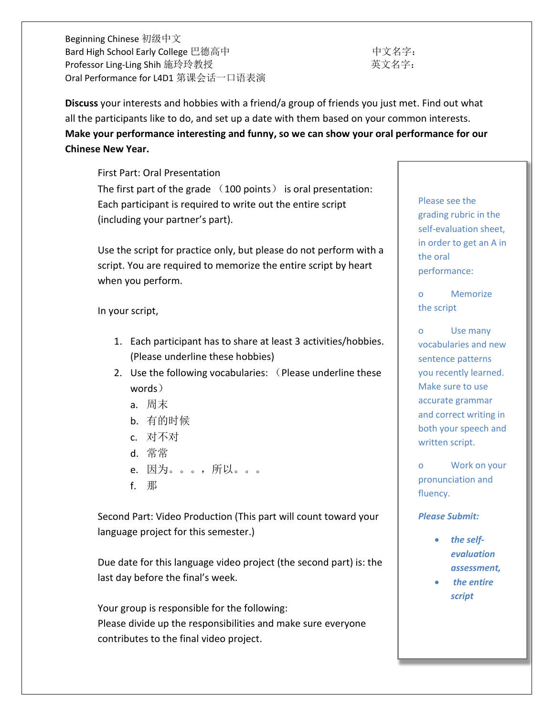Beginning Chinese 初级中文 Bard High School Early College 巴德高中 インクリング しょうしょう 中文名字: Professor Ling-Ling Shih 施玲玲教授 インファン さんじょう うちょう 英文名字: Oral Performance for L4D1 第课会话一口语表演

**Discuss** your interests and hobbies with a friend/a group of friends you just met. Find out what all the participants like to do, and set up a date with them based on your common interests. **Make your performance interesting and funny, so we can show your oral performance for our Chinese New Year.** 

First Part: Oral Presentation The first part of the grade (100 points) is oral presentation: Each participant is required to write out the entire script (including your partner's part).

Use the script for practice only, but please do not perform with a script. You are required to memorize the entire script by heart when you perform.

In your script,

- 1. Each participant has to share at least 3 activities/hobbies. (Please underline these hobbies)
- 2. Use the following vocabularies: (Please underline these words)
	- a. 周末
	- b. 有的时候
	- c. 对不对
	- d. 常常
	- e. 因为。。。,所以。。。
	- f. 那

Second Part: Video Production (This part will count toward your language project for this semester.)

Due date for this language video project (the second part) is: the last day before the final's week.

Your group is responsible for the following: Please divide up the responsibilities and make sure everyone contributes to the final video project.

Please see the grading rubric in the self-evaluation sheet, in order to get an A in the oral performance:

o Memorize the script

o Use many vocabularies and new sentence patterns you recently learned. Make sure to use accurate grammar and correct writing in both your speech and written script.

o Work on your pronunciation and fluency.

## *Please Submit:*

- *the selfevaluation assessment,*
- *the entire script*